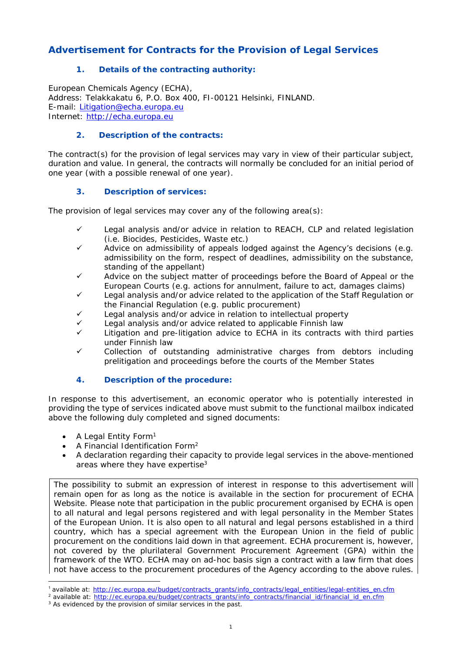## **Advertisement for Contracts for the Provision of Legal Services**

## **1. Details of the contracting authority:**

European Chemicals Agency (ECHA), Address: Telakkakatu 6, P.O. Box 400, FI-00121 Helsinki, FINLAND. E-mail: Litigation@echa.europa.eu Internet: http://echa.europa.eu

#### **2. Description of the contracts:**

The contract(s) for the provision of legal services may vary in view of their particular subject, duration and value. In general, the contracts will normally be concluded for an initial period of one year (with a possible renewal of one year).

#### **3. Description of services:**

The provision of legal services may cover any of the following area(s):

- $\checkmark$  Legal analysis and/or advice in relation to REACH, CLP and related legislation (i.e. Biocides, Pesticides, Waste etc.)
- $\checkmark$  Advice on admissibility of appeals lodged against the Agency's decisions (e.g. admissibility on the form, respect of deadlines, admissibility on the substance, standing of the appellant)
- Advice on the subject matter of proceedings before the Board of Appeal or the European Courts (e.g. actions for annulment, failure to act, damages claims)
- $\checkmark$  Legal analysis and/or advice related to the application of the Staff Regulation or the Financial Regulation (e.g. public procurement)
- Legal analysis and/or advice in relation to intellectual property
- Legal analysis and/or advice related to applicable Finnish law
- Litigation and pre-litigation advice to ECHA in its contracts with third parties under Finnish law
- Collection of outstanding administrative charges from debtors including prelitigation and proceedings before the courts of the Member States

## **4. Description of the procedure:**

In response to this advertisement, an economic operator who is potentially interested in providing the type of services indicated above must submit to the functional mailbox indicated above the following duly completed and signed documents:

- $\bullet$  A Legal Entity Form<sup>1</sup>
- A Financial Identification Form2
- A declaration regarding their capacity to provide legal services in the above-mentioned areas where they have expertise<sup>3</sup>

The possibility to submit an expression of interest in response to this advertisement will remain open for as long as the notice is available in the section for procurement of ECHA Website. Please note that participation in the public procurement organised by ECHA is open to all natural and legal persons registered and with legal personality in the Member States of the European Union. It is also open to all natural and legal persons established in a third country, which has a special agreement with the European Union in the field of public procurement on the conditions laid down in that agreement. ECHA procurement is, however, not covered by the plurilateral Government Procurement Agreement (GPA) within the framework of the WTO. ECHA may on ad-hoc basis sign a contract with a law firm that does not have access to the procurement procedures of the Agency according to the above rules.

<sup>&</sup>lt;sup>1</sup> available at: http://ec.europa.eu/budget/contracts\_grants/info\_contracts/legal\_entities/legal-entities\_en.cfm

<sup>&</sup>lt;sup>2</sup> available at: http://ec.europa.eu/budget/contracts\_grants/info\_contracts/financial\_id/financial\_id\_en.cfm <sup>3</sup> As evidenced by the provision of similar services in the past.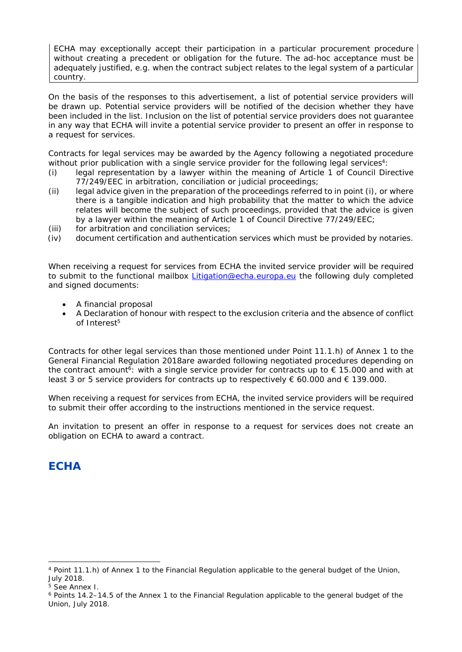ECHA may exceptionally accept their participation in a particular procurement procedure without creating a precedent or obligation for the future. The ad-hoc acceptance must be adequately justified, e.g. when the contract subject relates to the legal system of a particular country.

On the basis of the responses to this advertisement, a list of potential service providers will be drawn up. Potential service providers will be notified of the decision whether they have been included in the list. Inclusion on the list of potential service providers does not guarantee in any way that ECHA will invite a potential service provider to present an offer in response to a request for services.

Contracts for legal services may be awarded by the Agency following a negotiated procedure without prior publication with a single service provider for the following legal services<sup>4</sup>:

- (i) legal representation by a lawyer within the meaning of Article 1 of Council Directive 77/249/EEC in arbitration, conciliation or judicial proceedings;
- (ii) legal advice given in the preparation of the proceedings referred to in point (i), or where there is a tangible indication and high probability that the matter to which the advice relates will become the subject of such proceedings, provided that the advice is given by a lawyer within the meaning of Article 1 of Council Directive 77/249/EEC;
- (iii) for arbitration and conciliation services;
- (iv) document certification and authentication services which must be provided by notaries.

When receiving a request for services from ECHA the invited service provider will be required to submit to the functional mailbox Litigation@echa.europa.eu the following duly completed and signed documents:

- A financial proposal
- A Declaration of honour with respect to the exclusion criteria and the absence of conflict of Interest5

Contracts for other legal services than those mentioned under Point 11.1.h) of Annex 1 to the General Financial Regulation 2018are awarded following negotiated procedures depending on the contract amount<sup>6</sup>: with a single service provider for contracts up to  $\epsilon$  15.000 and with at least 3 or 5 service providers for contracts up to respectively  $\epsilon$  60.000 and  $\epsilon$  139.000.

When receiving a request for services from ECHA, the invited service providers will be required to submit their offer according to the instructions mentioned in the service request.

An invitation to present an offer in response to a request for services does not create an obligation on ECHA to award a contract.

# **ECHA**

<sup>4</sup> Point 11.1.h) of Annex 1 to the Financial Regulation applicable to the general budget of the Union, July 2018.

<sup>5</sup> See Annex I.

<sup>6</sup> Points 14.2–14.5 of the Annex 1 to the Financial Regulation applicable to the general budget of the Union, July 2018.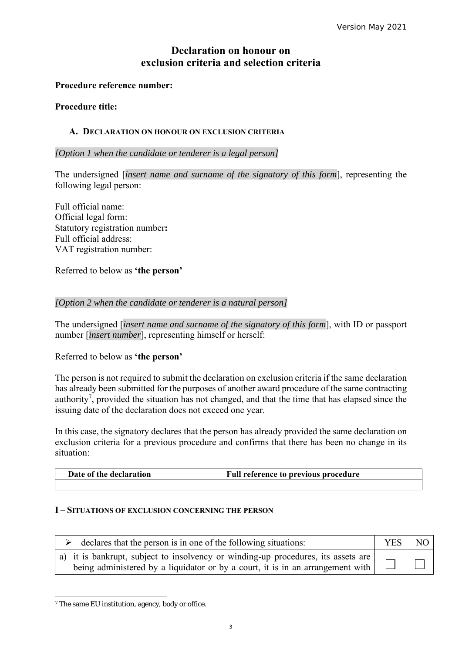## **Declaration on honour on exclusion criteria and selection criteria**

### **Procedure reference number:**

#### **Procedure title:**

### **A. DECLARATION ON HONOUR ON EXCLUSION CRITERIA**

*[Option 1 when the candidate or tenderer is a legal person]* 

The undersigned [*insert name and surname of the signatory of this form*], representing the following legal person:

Full official name: Official legal form: Statutory registration number**:**  Full official address: VAT registration number:

Referred to below as **'the person'** 

#### *[Option 2 when the candidate or tenderer is a natural person]*

The undersigned [*insert name and surname of the signatory of this form*], with ID or passport number [*insert number*], representing himself or herself:

## Referred to below as **'the person'**

The person is not required to submit the declaration on exclusion criteria if the same declaration has already been submitted for the purposes of another award procedure of the same contracting authority<sup>7</sup>, provided the situation has not changed, and that the time that has elapsed since the issuing date of the declaration does not exceed one year.

In this case, the signatory declares that the person has already provided the same declaration on exclusion criteria for a previous procedure and confirms that there has been no change in its situation:

| Date of the declaration | <b>Full reference to previous procedure</b> |
|-------------------------|---------------------------------------------|
|                         |                                             |

#### **I – SITUATIONS OF EXCLUSION CONCERNING THE PERSON**

| declares that the person is in one of the following situations:                                                                                                          |  | NO. |
|--------------------------------------------------------------------------------------------------------------------------------------------------------------------------|--|-----|
| $(a)$ it is bankrupt, subject to insolvency or winding-up procedures, its assets are  <br>being administered by a liquidator or by a court, it is in an arrangement with |  |     |

<sup>7</sup> The same EU institution, agency, body or office.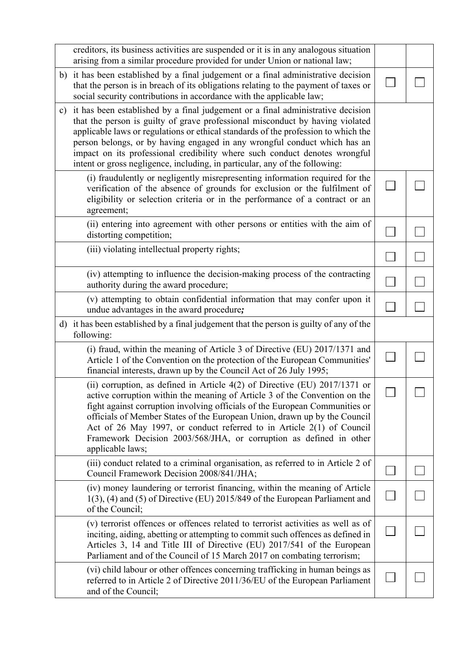|               | creditors, its business activities are suspended or it is in any analogous situation<br>arising from a similar procedure provided for under Union or national law;                                                                                                                                                                                                                                                                                                                               |  |
|---------------|--------------------------------------------------------------------------------------------------------------------------------------------------------------------------------------------------------------------------------------------------------------------------------------------------------------------------------------------------------------------------------------------------------------------------------------------------------------------------------------------------|--|
| b)            | it has been established by a final judgement or a final administrative decision<br>that the person is in breach of its obligations relating to the payment of taxes or<br>social security contributions in accordance with the applicable law;                                                                                                                                                                                                                                                   |  |
| $\mathbf{c})$ | it has been established by a final judgement or a final administrative decision<br>that the person is guilty of grave professional misconduct by having violated<br>applicable laws or regulations or ethical standards of the profession to which the<br>person belongs, or by having engaged in any wrongful conduct which has an<br>impact on its professional credibility where such conduct denotes wrongful<br>intent or gross negligence, including, in particular, any of the following: |  |
|               | (i) fraudulently or negligently misrepresenting information required for the<br>verification of the absence of grounds for exclusion or the fulfilment of<br>eligibility or selection criteria or in the performance of a contract or an<br>agreement;                                                                                                                                                                                                                                           |  |
|               | (ii) entering into agreement with other persons or entities with the aim of<br>distorting competition;                                                                                                                                                                                                                                                                                                                                                                                           |  |
|               | (iii) violating intellectual property rights;                                                                                                                                                                                                                                                                                                                                                                                                                                                    |  |
|               | (iv) attempting to influence the decision-making process of the contracting<br>authority during the award procedure;                                                                                                                                                                                                                                                                                                                                                                             |  |
|               | (v) attempting to obtain confidential information that may confer upon it<br>undue advantages in the award procedure;                                                                                                                                                                                                                                                                                                                                                                            |  |
|               | d) it has been established by a final judgement that the person is guilty of any of the<br>following:                                                                                                                                                                                                                                                                                                                                                                                            |  |
|               | (i) fraud, within the meaning of Article 3 of Directive (EU) 2017/1371 and<br>Article 1 of the Convention on the protection of the European Communities'<br>financial interests, drawn up by the Council Act of 26 July 1995;                                                                                                                                                                                                                                                                    |  |
|               | (ii) corruption, as defined in Article 4(2) of Directive (EU) 2017/1371 or<br>active corruption within the meaning of Article 3 of the Convention on the<br>fight against corruption involving officials of the European Communities or<br>officials of Member States of the European Union, drawn up by the Council<br>Act of 26 May 1997, or conduct referred to in Article $2(1)$ of Council<br>Framework Decision 2003/568/JHA, or corruption as defined in other<br>applicable laws;        |  |
|               | (iii) conduct related to a criminal organisation, as referred to in Article 2 of<br>Council Framework Decision 2008/841/JHA;                                                                                                                                                                                                                                                                                                                                                                     |  |
|               | (iv) money laundering or terrorist financing, within the meaning of Article<br>$1(3)$ , (4) and (5) of Directive (EU) 2015/849 of the European Parliament and<br>of the Council;                                                                                                                                                                                                                                                                                                                 |  |
|               | (v) terrorist offences or offences related to terrorist activities as well as of<br>inciting, aiding, abetting or attempting to commit such offences as defined in<br>Articles 3, 14 and Title III of Directive (EU) 2017/541 of the European<br>Parliament and of the Council of 15 March 2017 on combating terrorism;                                                                                                                                                                          |  |
|               | (vi) child labour or other offences concerning trafficking in human beings as<br>referred to in Article 2 of Directive 2011/36/EU of the European Parliament<br>and of the Council;                                                                                                                                                                                                                                                                                                              |  |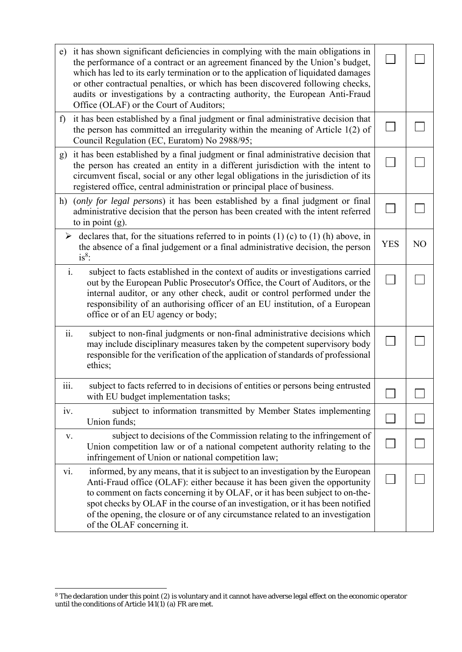| e) it has shown significant deficiencies in complying with the main obligations in<br>the performance of a contract or an agreement financed by the Union's budget,<br>which has led to its early termination or to the application of liquidated damages<br>or other contractual penalties, or which has been discovered following checks,<br>audits or investigations by a contracting authority, the European Anti-Fraud<br>Office (OLAF) or the Court of Auditors; |            |                |
|------------------------------------------------------------------------------------------------------------------------------------------------------------------------------------------------------------------------------------------------------------------------------------------------------------------------------------------------------------------------------------------------------------------------------------------------------------------------|------------|----------------|
| it has been established by a final judgment or final administrative decision that<br>f<br>the person has committed an irregularity within the meaning of Article $1(2)$ of<br>Council Regulation (EC, Euratom) No 2988/95;                                                                                                                                                                                                                                             |            |                |
| g) it has been established by a final judgment or final administrative decision that<br>the person has created an entity in a different jurisdiction with the intent to<br>circumvent fiscal, social or any other legal obligations in the jurisdiction of its<br>registered office, central administration or principal place of business.                                                                                                                            |            |                |
| (only for legal persons) it has been established by a final judgment or final<br>h)<br>administrative decision that the person has been created with the intent referred<br>to in point $(g)$ .                                                                                                                                                                                                                                                                        |            |                |
| $\triangleright$ declares that, for the situations referred to in points (1) (c) to (1) (h) above, in<br>the absence of a final judgement or a final administrative decision, the person<br>$is^8$ :                                                                                                                                                                                                                                                                   | <b>YES</b> | N <sub>O</sub> |
| $\mathbf{i}$ .<br>subject to facts established in the context of audits or investigations carried<br>out by the European Public Prosecutor's Office, the Court of Auditors, or the<br>internal auditor, or any other check, audit or control performed under the<br>responsibility of an authorising officer of an EU institution, of a European<br>office or of an EU agency or body;                                                                                 |            |                |
| ii.<br>subject to non-final judgments or non-final administrative decisions which<br>may include disciplinary measures taken by the competent supervisory body<br>responsible for the verification of the application of standards of professional<br>ethics;                                                                                                                                                                                                          |            |                |
| subject to facts referred to in decisions of entities or persons being entrusted<br>111.<br>with EU budget implementation tasks;                                                                                                                                                                                                                                                                                                                                       |            |                |
| subject to information transmitted by Member States implementing<br>iv.<br>Union funds;                                                                                                                                                                                                                                                                                                                                                                                |            |                |
| subject to decisions of the Commission relating to the infringement of<br>V.<br>Union competition law or of a national competent authority relating to the<br>infringement of Union or national competition law;                                                                                                                                                                                                                                                       |            |                |
| informed, by any means, that it is subject to an investigation by the European<br>vi.<br>Anti-Fraud office (OLAF): either because it has been given the opportunity<br>to comment on facts concerning it by OLAF, or it has been subject to on-the-<br>spot checks by OLAF in the course of an investigation, or it has been notified<br>of the opening, the closure or of any circumstance related to an investigation<br>of the OLAF concerning it.                  |            |                |

<sup>&</sup>lt;sup>8</sup> The declaration under this point (2) is voluntary and it cannot have adverse legal effect on the economic operator until the conditions of Article 141(1) (a) FR are met.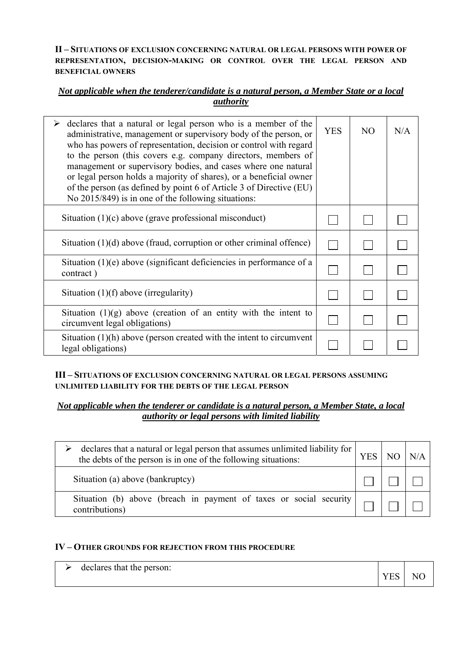## **II – SITUATIONS OF EXCLUSION CONCERNING NATURAL OR LEGAL PERSONS WITH POWER OF REPRESENTATION, DECISION-MAKING OR CONTROL OVER THE LEGAL PERSON AND BENEFICIAL OWNERS**

## *Not applicable when the tenderer/candidate is a natural person, a Member State or a local authority*

| declares that a natural or legal person who is a member of the<br>➤<br>administrative, management or supervisory body of the person, or<br>who has powers of representation, decision or control with regard<br>to the person (this covers e.g. company directors, members of<br>management or supervisory bodies, and cases where one natural<br>or legal person holds a majority of shares), or a beneficial owner<br>of the person (as defined by point 6 of Article 3 of Directive (EU)<br>No 2015/849) is in one of the following situations: | <b>YES</b> | N <sub>O</sub> | N/A |
|----------------------------------------------------------------------------------------------------------------------------------------------------------------------------------------------------------------------------------------------------------------------------------------------------------------------------------------------------------------------------------------------------------------------------------------------------------------------------------------------------------------------------------------------------|------------|----------------|-----|
| Situation $(1)(c)$ above (grave professional misconduct)                                                                                                                                                                                                                                                                                                                                                                                                                                                                                           |            |                |     |
| Situation $(1)(d)$ above (fraud, corruption or other criminal offence)                                                                                                                                                                                                                                                                                                                                                                                                                                                                             |            |                |     |
| Situation $(1)(e)$ above (significant deficiencies in performance of a<br>contract)                                                                                                                                                                                                                                                                                                                                                                                                                                                                |            |                |     |
| Situation $(1)(f)$ above (irregularity)                                                                                                                                                                                                                                                                                                                                                                                                                                                                                                            |            |                |     |
| Situation $(1)(g)$ above (creation of an entity with the intent to<br>circumvent legal obligations)                                                                                                                                                                                                                                                                                                                                                                                                                                                |            |                |     |
| Situation $(1)(h)$ above (person created with the intent to circumvent<br>legal obligations)                                                                                                                                                                                                                                                                                                                                                                                                                                                       |            |                |     |

## **III – SITUATIONS OF EXCLUSION CONCERNING NATURAL OR LEGAL PERSONS ASSUMING UNLIMITED LIABILITY FOR THE DEBTS OF THE LEGAL PERSON**

## *Not applicable when the tenderer or candidate is a natural person, a Member State, a local authority or legal persons with limited liability*

| declares that a natural or legal person that assumes unlimited liability for $\vert$ .<br>the debts of the person is in one of the following situations: | <b>YES</b> | N/A |
|----------------------------------------------------------------------------------------------------------------------------------------------------------|------------|-----|
| Situation (a) above (bankruptcy)                                                                                                                         |            |     |
| Situation (b) above (breach in payment of taxes or social security  <br>contributions)                                                                   |            |     |

## **IV – OTHER GROUNDS FOR REJECTION FROM THIS PROCEDURE**

| declares that the person: | <b>VFS</b> | NC |
|---------------------------|------------|----|
|                           |            |    |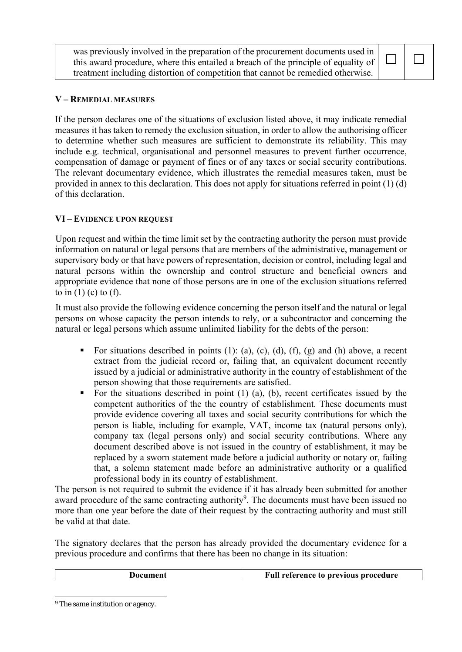was previously involved in the preparation of the procurement documents used in this award procedure, where this entailed a breach of the principle of equality of treatment including distortion of competition that cannot be remedied otherwise.

# $\Box$

## **V – REMEDIAL MEASURES**

If the person declares one of the situations of exclusion listed above, it may indicate remedial measures it has taken to remedy the exclusion situation, in order to allow the authorising officer to determine whether such measures are sufficient to demonstrate its reliability. This may include e.g. technical, organisational and personnel measures to prevent further occurrence, compensation of damage or payment of fines or of any taxes or social security contributions. The relevant documentary evidence, which illustrates the remedial measures taken, must be provided in annex to this declaration. This does not apply for situations referred in point (1) (d) of this declaration.

## **VI – EVIDENCE UPON REQUEST**

Upon request and within the time limit set by the contracting authority the person must provide information on natural or legal persons that are members of the administrative, management or supervisory body or that have powers of representation, decision or control, including legal and natural persons within the ownership and control structure and beneficial owners and appropriate evidence that none of those persons are in one of the exclusion situations referred to in  $(1)$  (c) to  $(f)$ .

It must also provide the following evidence concerning the person itself and the natural or legal persons on whose capacity the person intends to rely, or a subcontractor and concerning the natural or legal persons which assume unlimited liability for the debts of the person:

- For situations described in points  $(1)$ :  $(a)$ ,  $(c)$ ,  $(d)$ ,  $(f)$ ,  $(g)$  and  $(h)$  above, a recent extract from the judicial record or, failing that, an equivalent document recently issued by a judicial or administrative authority in the country of establishment of the person showing that those requirements are satisfied.
- For the situations described in point (1) (a), (b), recent certificates issued by the competent authorities of the the country of establishment. These documents must provide evidence covering all taxes and social security contributions for which the person is liable, including for example, VAT, income tax (natural persons only), company tax (legal persons only) and social security contributions. Where any document described above is not issued in the country of establishment, it may be replaced by a sworn statement made before a judicial authority or notary or, failing that, a solemn statement made before an administrative authority or a qualified professional body in its country of establishment.

The person is not required to submit the evidence if it has already been submitted for another award procedure of the same contracting authority<sup>9</sup>. The documents must have been issued no more than one year before the date of their request by the contracting authority and must still be valid at that date.

The signatory declares that the person has already provided the documentary evidence for a previous procedure and confirms that there has been no change in its situation:

| Document | Full reference to previous procedure |
|----------|--------------------------------------|
|          |                                      |

<sup>&</sup>lt;sup>9</sup> The same institution or agency.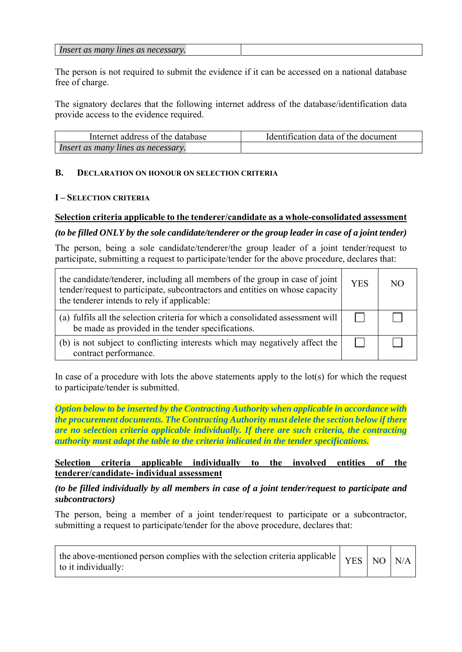| Insert as many<br>s as necessary.<br>lines |  |
|--------------------------------------------|--|
|--------------------------------------------|--|

The person is not required to submit the evidence if it can be accessed on a national database free of charge.

The signatory declares that the following internet address of the database/identification data provide access to the evidence required.

| Internet address of the database   | Identification data of the document |
|------------------------------------|-------------------------------------|
| Insert as many lines as necessary. |                                     |

## **B. DECLARATION ON HONOUR ON SELECTION CRITERIA**

## **I – SELECTION CRITERIA**

# **Selection criteria applicable to the tenderer/candidate as a whole-consolidated assessment**

## *(to be filled ONLY by the sole candidate/tenderer or the group leader in case of a joint tender)*

The person, being a sole candidate/tenderer/the group leader of a joint tender/request to participate, submitting a request to participate/tender for the above procedure, declares that:

| the candidate/tenderer, including all members of the group in case of joint<br>tender/request to participate, subcontractors and entities on whose capacity<br>the tenderer intends to rely if applicable: | <b>YES</b> | NO. |
|------------------------------------------------------------------------------------------------------------------------------------------------------------------------------------------------------------|------------|-----|
| (a) fulfils all the selection criteria for which a consolidated assessment will<br>be made as provided in the tender specifications.                                                                       |            |     |
| (b) is not subject to conflicting interests which may negatively affect the<br>contract performance.                                                                                                       |            |     |

In case of a procedure with lots the above statements apply to the lot(s) for which the request to participate/tender is submitted.

*Option below to be inserted by the Contracting Authority when applicable in accordance with the procurement documents. The Contracting Authority must delete the section below if there are no selection criteria applicable individually. If there are such criteria, the contracting authority must adapt the table to the criteria indicated in the tender specifications.* 

## **Selection criteria applicable individually to the involved entities of the tenderer/candidate- individual assessment**

## *(to be filled individually by all members in case of a joint tender/request to participate and subcontractors)*

The person, being a member of a joint tender/request to participate or a subcontractor, submitting a request to participate/tender for the above procedure, declares that:

| the above-mentioned person complies with the selection criteria applicable $\vert$ YES $\vert$ NO $\vert$ N/A<br>to it individually: |  |  |  |
|--------------------------------------------------------------------------------------------------------------------------------------|--|--|--|
|--------------------------------------------------------------------------------------------------------------------------------------|--|--|--|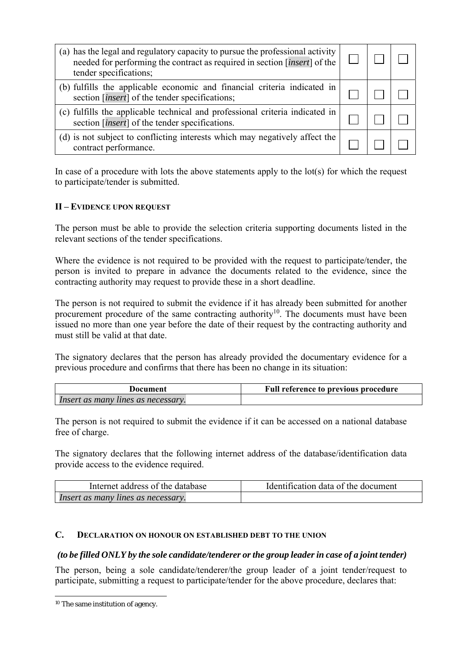| (a) has the legal and regulatory capacity to pursue the professional activity<br>needed for performing the contract as required in section [ <i>insert</i> ] of the<br>tender specifications; |  |  |
|-----------------------------------------------------------------------------------------------------------------------------------------------------------------------------------------------|--|--|
| (b) fulfills the applicable economic and financial criteria indicated in<br>section [ <i>insert</i> ] of the tender specifications;                                                           |  |  |
| (c) fulfills the applicable technical and professional criteria indicated in<br>section [ <i>insert</i> ] of the tender specifications.                                                       |  |  |
| (d) is not subject to conflicting interests which may negatively affect the<br>contract performance.                                                                                          |  |  |

In case of a procedure with lots the above statements apply to the lot(s) for which the request to participate/tender is submitted.

## **II – EVIDENCE UPON REQUEST**

The person must be able to provide the selection criteria supporting documents listed in the relevant sections of the tender specifications.

Where the evidence is not required to be provided with the request to participate/tender, the person is invited to prepare in advance the documents related to the evidence, since the contracting authority may request to provide these in a short deadline.

The person is not required to submit the evidence if it has already been submitted for another procurement procedure of the same contracting authority<sup>10</sup>. The documents must have been issued no more than one year before the date of their request by the contracting authority and must still be valid at that date.

The signatory declares that the person has already provided the documentary evidence for a previous procedure and confirms that there has been no change in its situation:

| Document                           | <b>Full reference to previous procedure</b> |
|------------------------------------|---------------------------------------------|
| Insert as many lines as necessary. |                                             |

The person is not required to submit the evidence if it can be accessed on a national database free of charge.

The signatory declares that the following internet address of the database/identification data provide access to the evidence required.

| Internet address of the database   | Identification data of the document |
|------------------------------------|-------------------------------------|
| Insert as many lines as necessary. |                                     |

## **C. DECLARATION ON HONOUR ON ESTABLISHED DEBT TO THE UNION**

## *(to be filled ONLY by the sole candidate/tenderer or the group leader in case of a joint tender)*

The person, being a sole candidate/tenderer/the group leader of a joint tender/request to participate, submitting a request to participate/tender for the above procedure, declares that:

<sup>10</sup> The same institution of agency.